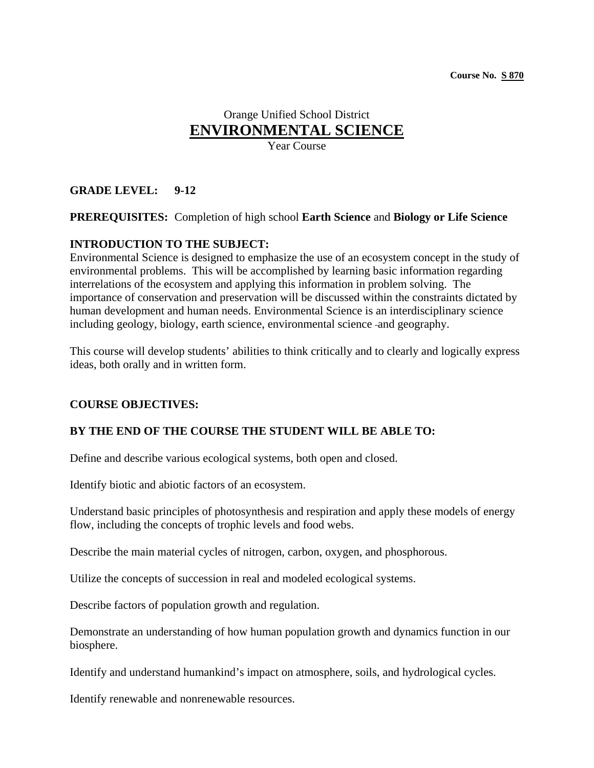# Orange Unified School District **ENVIRONMENTAL SCIENCE**

Year Course

## **GRADE LEVEL: 9-12**

#### **PREREQUISITES:** Completion of high school **Earth Science** and **Biology or Life Science**

#### **INTRODUCTION TO THE SUBJECT:**

Environmental Science is designed to emphasize the use of an ecosystem concept in the study of environmental problems. This will be accomplished by learning basic information regarding interrelations of the ecosystem and applying this information in problem solving. The importance of conservation and preservation will be discussed within the constraints dictated by human development and human needs. Environmental Science is an interdisciplinary science including geology, biology, earth science, environmental science and geography.

This course will develop students' abilities to think critically and to clearly and logically express ideas, both orally and in written form.

#### **COURSE OBJECTIVES:**

#### **BY THE END OF THE COURSE THE STUDENT WILL BE ABLE TO:**

Define and describe various ecological systems, both open and closed.

Identify biotic and abiotic factors of an ecosystem.

Understand basic principles of photosynthesis and respiration and apply these models of energy flow, including the concepts of trophic levels and food webs.

Describe the main material cycles of nitrogen, carbon, oxygen, and phosphorous.

Utilize the concepts of succession in real and modeled ecological systems.

Describe factors of population growth and regulation.

Demonstrate an understanding of how human population growth and dynamics function in our biosphere.

Identify and understand humankind's impact on atmosphere, soils, and hydrological cycles.

Identify renewable and nonrenewable resources.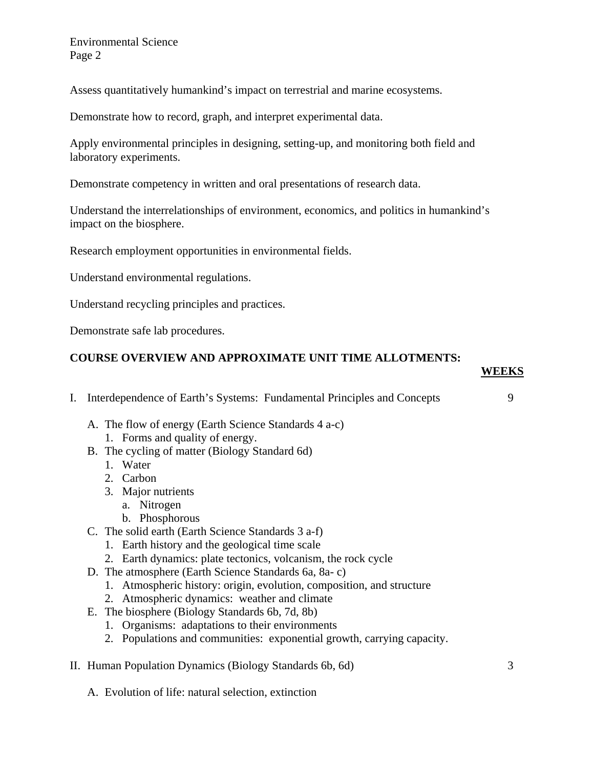Assess quantitatively humankind's impact on terrestrial and marine ecosystems.

Demonstrate how to record, graph, and interpret experimental data.

Apply environmental principles in designing, setting-up, and monitoring both field and laboratory experiments.

Demonstrate competency in written and oral presentations of research data.

Understand the interrelationships of environment, economics, and politics in humankind's impact on the biosphere.

Research employment opportunities in environmental fields.

Understand environmental regulations.

Understand recycling principles and practices.

Demonstrate safe lab procedures.

#### **COURSE OVERVIEW AND APPROXIMATE UNIT TIME ALLOTMENTS:**

#### **WEEKS**

I. Interdependence of Earth's Systems: Fundamental Principles and Concepts 9

- A. The flow of energy (Earth Science Standards 4 a-c)
	- 1. Forms and quality of energy.
- B. The cycling of matter (Biology Standard 6d)
	- 1. Water
	- 2. Carbon
	- 3. Major nutrients
		- a. Nitrogen
		- b. Phosphorous
- C. The solid earth (Earth Science Standards 3 a-f)
	- 1. Earth history and the geological time scale
	- 2. Earth dynamics: plate tectonics, volcanism, the rock cycle
- D. The atmosphere (Earth Science Standards 6a, 8a- c)
	- 1. Atmospheric history: origin, evolution, composition, and structure
	- 2. Atmospheric dynamics: weather and climate
- E. The biosphere (Biology Standards 6b, 7d, 8b)
	- 1. Organisms: adaptations to their environments
	- 2. Populations and communities: exponential growth, carrying capacity.
- II. Human Population Dynamics (Biology Standards 6b, 6d) 3
	- A. Evolution of life: natural selection, extinction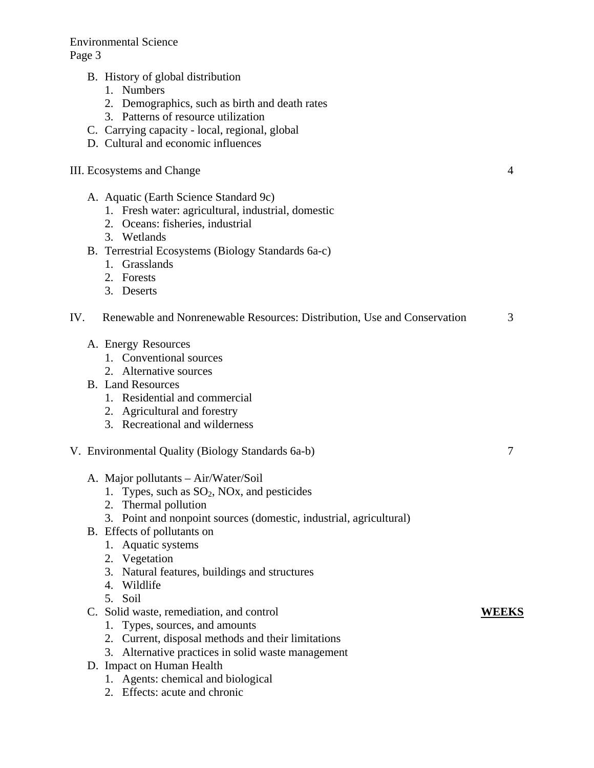- B. History of global distribution
	- 1. Numbers
	- 2. Demographics, such as birth and death rates
	- 3. Patterns of resource utilization
- C. Carrying capacity local, regional, global
- D. Cultural and economic influences

III. Ecosystems and Change 4

- A. Aquatic (Earth Science Standard 9c)
	- 1. Fresh water: agricultural, industrial, domestic
	- 2. Oceans: fisheries, industrial
	- 3. Wetlands
- B. Terrestrial Ecosystems (Biology Standards 6a-c)
	- 1. Grasslands
	- 2. Forests
	- 3. Deserts

#### IV. Renewable and Nonrenewable Resources: Distribution, Use and Conservation 3

- A. Energy Resources
	- 1. Conventional sources
	- 2. Alternative sources
- B. Land Resources
	- 1. Residential and commercial
	- 2. Agricultural and forestry
	- 3. Recreational and wilderness
- V. Environmental Quality (Biology Standards 6a-b) 7
	- A. Major pollutants Air/Water/Soil
		- 1. Types, such as  $SO_2$ , NOx, and pesticides
		- 2. Thermal pollution
		- 3. Point and nonpoint sources (domestic, industrial, agricultural)
	- B. Effects of pollutants on
		- 1. Aquatic systems
		- 2. Vegetation
		- 3. Natural features, buildings and structures
		- 4. Wildlife
		- 5. Soil
	- C. Solid waste, remediation, and control **WEEKS**
		- 1. Types, sources, and amounts
		- 2. Current, disposal methods and their limitations
		- 3. Alternative practices in solid waste management
	- D. Impact on Human Health
		- 1. Agents: chemical and biological
		- 2. Effects: acute and chronic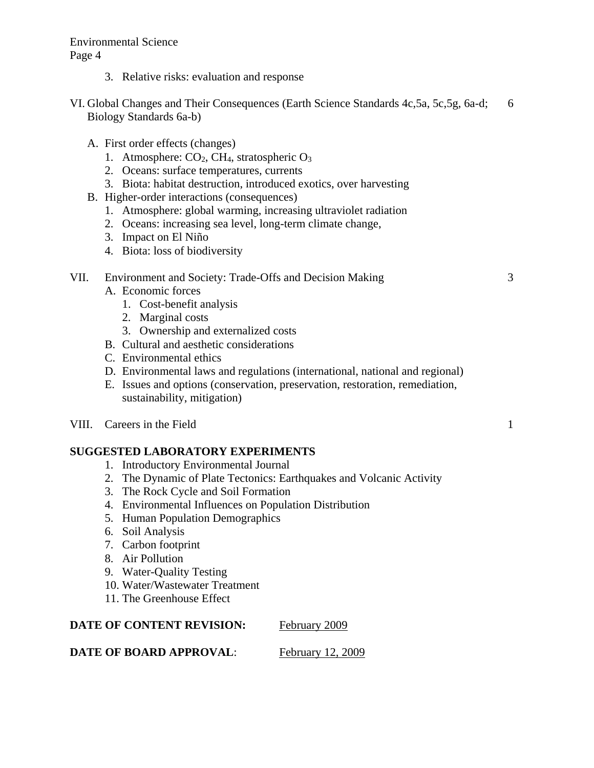- 3. Relative risks: evaluation and response
- VI. Global Changes and Their Consequences (Earth Science Standards 4c,5a, 5c,5g, 6a-d; 6 Biology Standards 6a-b)
	- A. First order effects (changes)
		- 1. Atmosphere:  $CO<sub>2</sub>$ , CH<sub>4</sub>, stratospheric  $O<sub>3</sub>$
		- 2. Oceans: surface temperatures, currents
		- 3. Biota: habitat destruction, introduced exotics, over harvesting
	- B. Higher-order interactions (consequences)
		- 1. Atmosphere: global warming, increasing ultraviolet radiation
		- 2. Oceans: increasing sea level, long-term climate change,
		- 3. Impact on El Niño
		- 4. Biota: loss of biodiversity
- VII. Environment and Society: Trade-Offs and Decision Making 3
	- A. Economic forces
		- 1. Cost-benefit analysis
		- 2. Marginal costs
		- 3. Ownership and externalized costs
	- B. Cultural and aesthetic considerations
	- C. Environmental ethics
	- D. Environmental laws and regulations (international, national and regional)
	- E. Issues and options (conservation, preservation, restoration, remediation, sustainability, mitigation)
- VIII. Careers in the Field 1

## **SUGGESTED LABORATORY EXPERIMENTS**

- 1. Introductory Environmental Journal
- 2. The Dynamic of Plate Tectonics: Earthquakes and Volcanic Activity
- 3. The Rock Cycle and Soil Formation
- 4. Environmental Influences on Population Distribution
- 5. Human Population Demographics
- 6. Soil Analysis
- 7. Carbon footprint
- 8. Air Pollution
- 9. Water-Quality Testing
- 10. Water/Wastewater Treatment
- 11. The Greenhouse Effect

#### **DATE OF CONTENT REVISION:** February 2009

**DATE OF BOARD APPROVAL:** February 12, 2009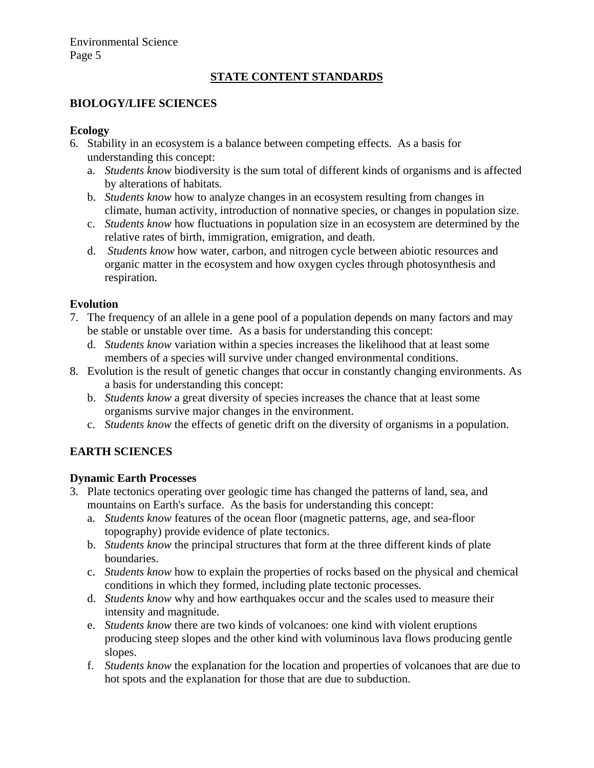## **STATE CONTENT STANDARDS**

## **BIOLOGY/LIFE SCIENCES**

## **Ecology**

- 6. Stability in an ecosystem is a balance between competing effects. As a basis for understanding this concept:
	- a. *Students know* biodiversity is the sum total of different kinds of organisms and is affected by alterations of habitats.
	- b. *Students know* how to analyze changes in an ecosystem resulting from changes in climate, human activity, introduction of nonnative species, or changes in population size.
	- c. *Students know* how fluctuations in population size in an ecosystem are determined by the relative rates of birth, immigration, emigration, and death.
	- d. *Students know* how water, carbon, and nitrogen cycle between abiotic resources and organic matter in the ecosystem and how oxygen cycles through photosynthesis and respiration.

### **Evolution**

- 7. The frequency of an allele in a gene pool of a population depends on many factors and may be stable or unstable over time. As a basis for understanding this concept:
	- d. *Students know* variation within a species increases the likelihood that at least some members of a species will survive under changed environmental conditions.
- 8. Evolution is the result of genetic changes that occur in constantly changing environments. As a basis for understanding this concept:
	- b. *Students know* a great diversity of species increases the chance that at least some organisms survive major changes in the environment.
	- c. *Students know* the effects of genetic drift on the diversity of organisms in a population.

# **EARTH SCIENCES**

#### **Dynamic Earth Processes**

- 3. Plate tectonics operating over geologic time has changed the patterns of land, sea, and mountains on Earth's surface. As the basis for understanding this concept:
	- a. *Students know* features of the ocean floor (magnetic patterns, age, and sea-floor topography) provide evidence of plate tectonics.
	- b. *Students know* the principal structures that form at the three different kinds of plate boundaries.
	- c. *Students know* how to explain the properties of rocks based on the physical and chemical conditions in which they formed, including plate tectonic processes.
	- d. *Students know* why and how earthquakes occur and the scales used to measure their intensity and magnitude.
	- e. *Students know* there are two kinds of volcanoes: one kind with violent eruptions producing steep slopes and the other kind with voluminous lava flows producing gentle slopes.
	- f. *Students know* the explanation for the location and properties of volcanoes that are due to hot spots and the explanation for those that are due to subduction.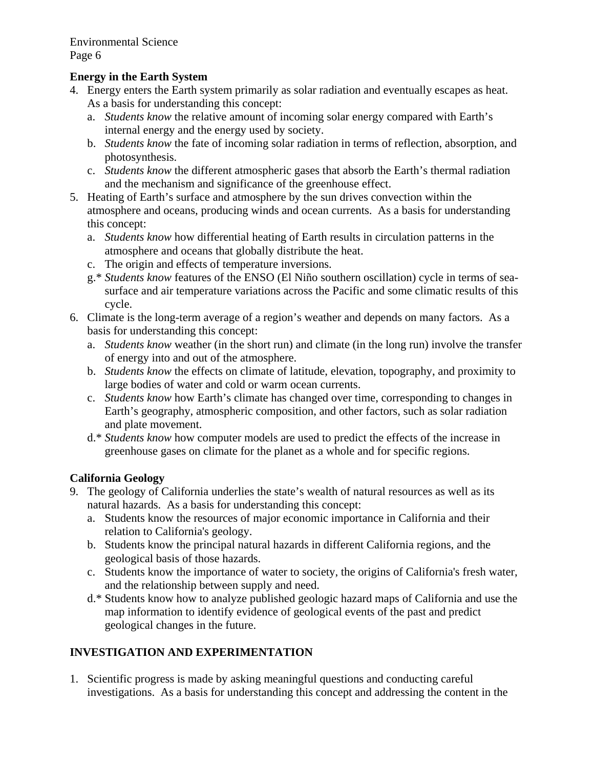## **Energy in the Earth System**

- 4. Energy enters the Earth system primarily as solar radiation and eventually escapes as heat. As a basis for understanding this concept:
	- a. *Students know* the relative amount of incoming solar energy compared with Earth's internal energy and the energy used by society.
	- b. *Students know* the fate of incoming solar radiation in terms of reflection, absorption, and photosynthesis.
	- c. *Students know* the different atmospheric gases that absorb the Earth's thermal radiation and the mechanism and significance of the greenhouse effect.
- 5. Heating of Earth's surface and atmosphere by the sun drives convection within the atmosphere and oceans, producing winds and ocean currents. As a basis for understanding this concept:
	- a. *Students know* how differential heating of Earth results in circulation patterns in the atmosphere and oceans that globally distribute the heat.
	- c. The origin and effects of temperature inversions.
	- g.\* *Students know* features of the ENSO (El Niño southern oscillation) cycle in terms of seasurface and air temperature variations across the Pacific and some climatic results of this cycle.
- 6. Climate is the long-term average of a region's weather and depends on many factors. As a basis for understanding this concept:
	- a. *Students know* weather (in the short run) and climate (in the long run) involve the transfer of energy into and out of the atmosphere.
	- b. *Students know* the effects on climate of latitude, elevation, topography, and proximity to large bodies of water and cold or warm ocean currents.
	- c. *Students know* how Earth's climate has changed over time, corresponding to changes in Earth's geography, atmospheric composition, and other factors, such as solar radiation and plate movement.
	- d.\* *Students know* how computer models are used to predict the effects of the increase in greenhouse gases on climate for the planet as a whole and for specific regions.

# **California Geology**

- 9. The geology of California underlies the state's wealth of natural resources as well as its natural hazards. As a basis for understanding this concept:
	- a. Students know the resources of major economic importance in California and their relation to California's geology.
	- b. Students know the principal natural hazards in different California regions, and the geological basis of those hazards.
	- c. Students know the importance of water to society, the origins of California's fresh water, and the relationship between supply and need.
	- d.\* Students know how to analyze published geologic hazard maps of California and use the map information to identify evidence of geological events of the past and predict geological changes in the future.

# **INVESTIGATION AND EXPERIMENTATION**

1. Scientific progress is made by asking meaningful questions and conducting careful investigations. As a basis for understanding this concept and addressing the content in the